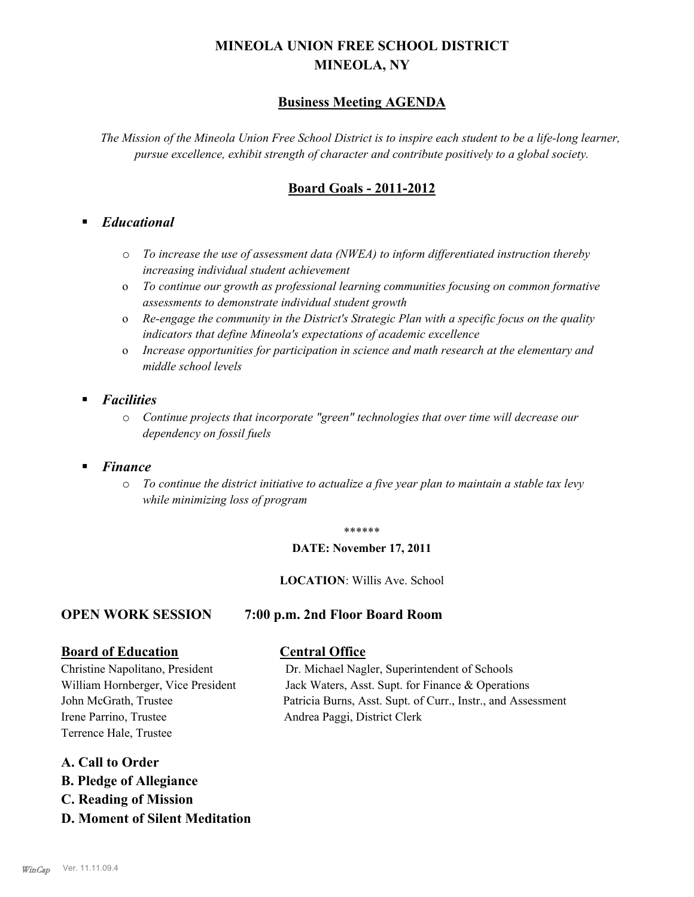# **MINEOLA UNION FREE SCHOOL DISTRICT MINEOLA, NY**

## **Business Meeting AGENDA**

*The Mission of the Mineola Union Free School District is to inspire each student to be a life-long learner, pursue excellence, exhibit strength of character and contribute positively to a global society.*

## **Board Goals - 2011-2012**

### § *Educational*

- o *To increase the use of assessment data (NWEA) to inform differentiated instruction thereby increasing individual student achievement*
- o *To continue our growth as professional learning communities focusing on common formative assessments to demonstrate individual student growth*
- o *Re-engage the community in the District's Strategic Plan with a specific focus on the quality indicators that define Mineola's expectations of academic excellence*
- o *Increase opportunities for participation in science and math research at the elementary and middle school levels*
- § *Facilities*
	- o *Continue projects that incorporate "green" technologies that over time will decrease our dependency on fossil fuels*
- § *Finance*
	- o *To continue the district initiative to actualize a five year plan to maintain a stable tax levy while minimizing loss of program*

#### \*\*\*\*\*\*

#### **DATE: November 17, 2011**

#### **LOCATION**: Willis Ave. School

#### **OPEN WORK SESSION 7:00 p.m. 2nd Floor Board Room**

#### **Board of Education Central Office**

Irene Parrino, Trustee Andrea Paggi, District Clerk Terrence Hale, Trustee

#### **A. Call to Order**

- **B. Pledge of Allegiance**
- **C. Reading of Mission**
- **D. Moment of Silent Meditation**

# Christine Napolitano, President Dr. Michael Nagler, Superintendent of Schools William Hornberger, Vice President Jack Waters, Asst. Supt. for Finance & Operations

John McGrath, Trustee Patricia Burns, Asst. Supt. of Curr., Instr., and Assessment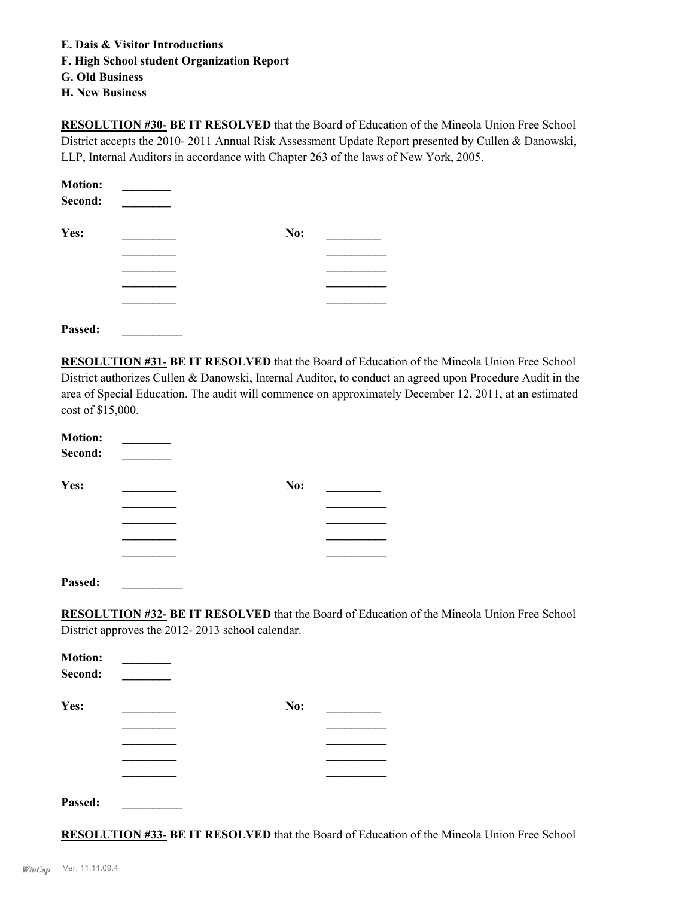- **E. Dais & Visitor Introductions**
- **F. High School student Organization Report**
- **G. Old Business**
- **H. New Business**

**RESOLUTION #30- BE IT RESOLVED** that the Board of Education of the Mineola Union Free School District accepts the 2010- 2011 Annual Risk Assessment Update Report presented by Cullen & Danowski, LLP, Internal Auditors in accordance with Chapter 263 of the laws of New York, 2005.

| <b>Motion:</b> |     |  |
|----------------|-----|--|
| Second:        |     |  |
| Yes:           | No: |  |
|                |     |  |
|                |     |  |
|                |     |  |
|                |     |  |
|                |     |  |

**Passed: \_\_\_\_\_\_\_\_\_\_**

**RESOLUTION #31- BE IT RESOLVED** that the Board of Education of the Mineola Union Free School District authorizes Cullen & Danowski, Internal Auditor, to conduct an agreed upon Procedure Audit in the area of Special Education. The audit will commence on approximately December 12, 2011, at an estimated cost of \$15,000.

| <b>Motion:</b><br>Second: |     |  |
|---------------------------|-----|--|
| Yes:                      | No: |  |
|                           |     |  |
|                           |     |  |
|                           |     |  |
|                           |     |  |
| Passed:                   |     |  |

**RESOLUTION #32- BE IT RESOLVED** that the Board of Education of the Mineola Union Free School District approves the 2012- 2013 school calendar.

| <b>Motion:</b><br>Second: |     |  |
|---------------------------|-----|--|
| Yes:                      | No: |  |
|                           |     |  |
|                           |     |  |
|                           |     |  |
|                           |     |  |
| Passed:                   |     |  |

**RESOLUTION #33- BE IT RESOLVED** that the Board of Education of the Mineola Union Free School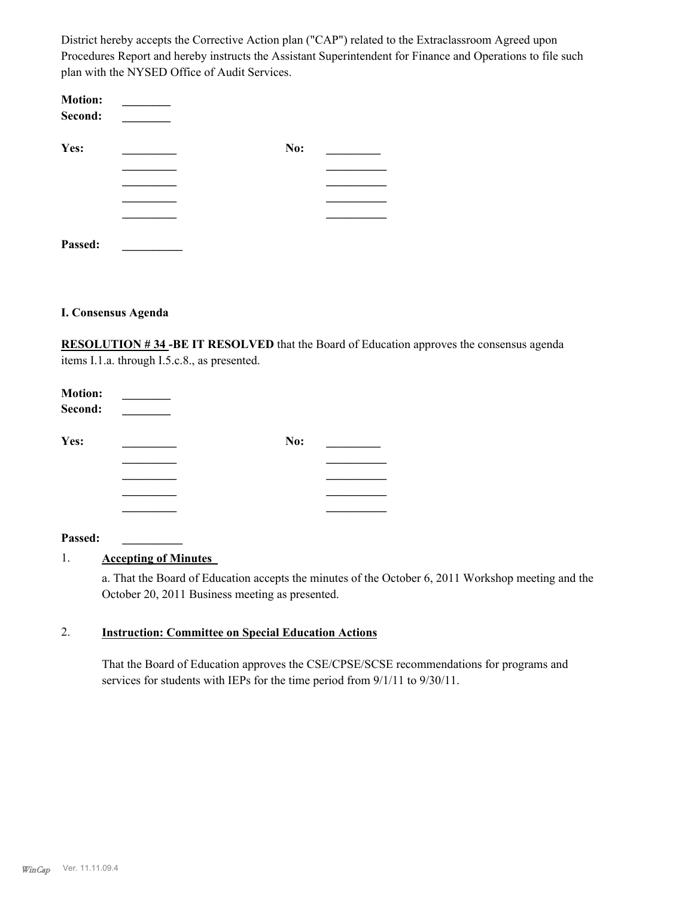District hereby accepts the Corrective Action plan ("CAP") related to the Extraclassroom Agreed upon Procedures Report and hereby instructs the Assistant Superintendent for Finance and Operations to file such plan with the NYSED Office of Audit Services.

| <b>Motion:</b><br>Second: |     |  |
|---------------------------|-----|--|
| Yes:                      | No: |  |
|                           |     |  |
|                           |     |  |
|                           |     |  |
|                           |     |  |
| Passed:                   |     |  |

#### **I. Consensus Agenda**

**RESOLUTION # 34 -BE IT RESOLVED** that the Board of Education approves the consensus agenda items I.1.a. through I.5.c.8., as presented.

| <b>Motion:</b><br>Second: |     |  |
|---------------------------|-----|--|
| Yes:                      | No: |  |
|                           |     |  |
|                           |     |  |
|                           |     |  |
|                           |     |  |

#### **Passed: \_\_\_\_\_\_\_\_\_\_**

#### 1. **Accepting of Minutes**

a. That the Board of Education accepts the minutes of the October 6, 2011 Workshop meeting and the October 20, 2011 Business meeting as presented.

#### **Instruction: Committee on Special Education Actions** 2.

That the Board of Education approves the CSE/CPSE/SCSE recommendations for programs and services for students with IEPs for the time period from 9/1/11 to 9/30/11.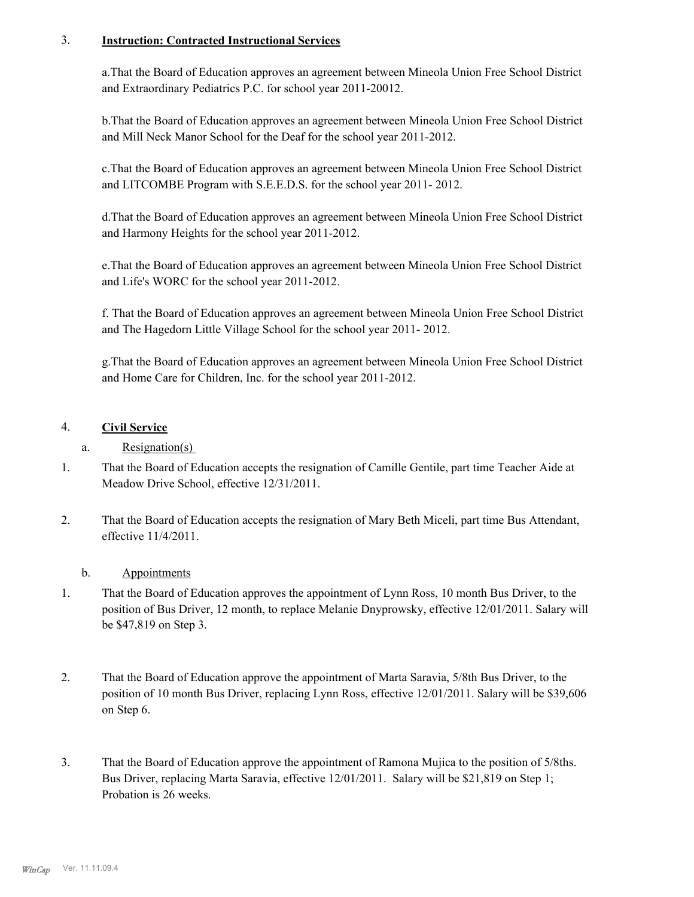#### **Instruction: Contracted Instructional Services** 3.

a.That the Board of Education approves an agreement between Mineola Union Free School District and Extraordinary Pediatrics P.C. for school year 2011-20012.

b.That the Board of Education approves an agreement between Mineola Union Free School District and Mill Neck Manor School for the Deaf for the school year 2011-2012.

c.That the Board of Education approves an agreement between Mineola Union Free School District and LITCOMBE Program with S.E.E.D.S. for the school year 2011- 2012.

d.That the Board of Education approves an agreement between Mineola Union Free School District and Harmony Heights for the school year 2011-2012.

e.That the Board of Education approves an agreement between Mineola Union Free School District and Life's WORC for the school year 2011-2012.

f. That the Board of Education approves an agreement between Mineola Union Free School District and The Hagedorn Little Village School for the school year 2011- 2012.

g.That the Board of Education approves an agreement between Mineola Union Free School District and Home Care for Children, Inc. for the school year 2011-2012.

## 4. **Civil Service**

### a. Resignation(s)

- That the Board of Education accepts the resignation of Camille Gentile, part time Teacher Aide at Meadow Drive School, effective 12/31/2011. 1.
- That the Board of Education accepts the resignation of Mary Beth Miceli, part time Bus Attendant, effective 11/4/2011. 2.

#### b. Appointments

- That the Board of Education approves the appointment of Lynn Ross, 10 month Bus Driver, to the position of Bus Driver, 12 month, to replace Melanie Dnyprowsky, effective 12/01/2011. Salary will be \$47,819 on Step 3. 1.
- That the Board of Education approve the appointment of Marta Saravia, 5/8th Bus Driver, to the position of 10 month Bus Driver, replacing Lynn Ross, effective 12/01/2011. Salary will be \$39,606 on Step 6. 2.
- That the Board of Education approve the appointment of Ramona Mujica to the position of 5/8ths. Bus Driver, replacing Marta Saravia, effective 12/01/2011. Salary will be \$21,819 on Step 1; Probation is 26 weeks. 3.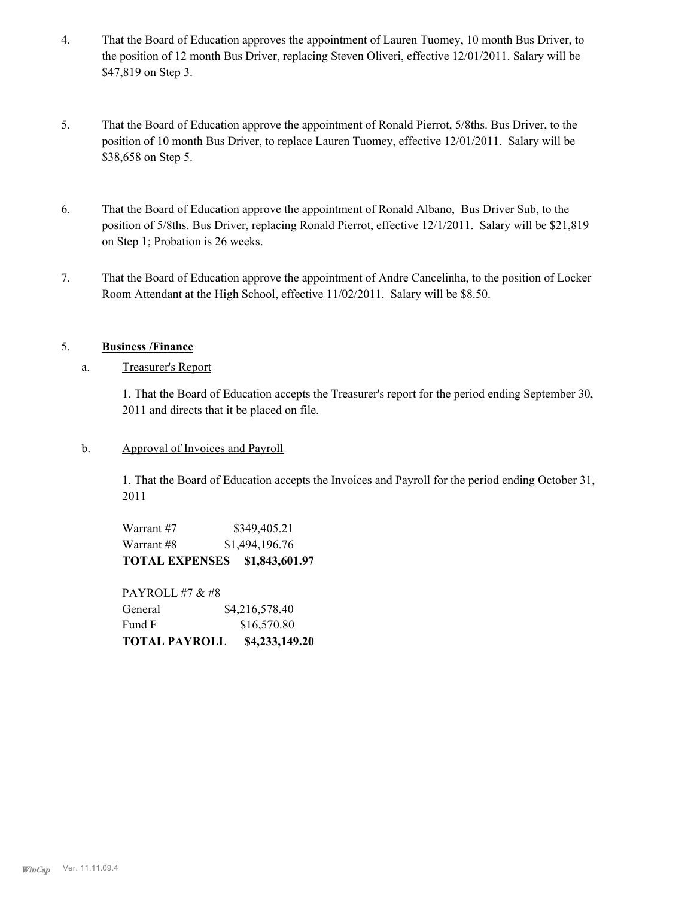- That the Board of Education approves the appointment of Lauren Tuomey, 10 month Bus Driver, to the position of 12 month Bus Driver, replacing Steven Oliveri, effective 12/01/2011. Salary will be \$47,819 on Step 3. 4.
- That the Board of Education approve the appointment of Ronald Pierrot, 5/8ths. Bus Driver, to the position of 10 month Bus Driver, to replace Lauren Tuomey, effective 12/01/2011. Salary will be \$38,658 on Step 5. 5.
- That the Board of Education approve the appointment of Ronald Albano, Bus Driver Sub, to the position of 5/8ths. Bus Driver, replacing Ronald Pierrot, effective 12/1/2011. Salary will be \$21,819 on Step 1; Probation is 26 weeks. 6.
- That the Board of Education approve the appointment of Andre Cancelinha, to the position of Locker Room Attendant at the High School, effective 11/02/2011. Salary will be \$8.50. 7.

#### 5. **Business /Finance**

a. Treasurer's Report

1. That the Board of Education accepts the Treasurer's report for the period ending September 30, 2011 and directs that it be placed on file.

b. Approval of Invoices and Payroll

1. That the Board of Education accepts the Invoices and Payroll for the period ending October 31, 2011

Warrant #7 \$349,405.21 Warrant #8 \$1,494,196.76 **TOTAL EXPENSES \$1,843,601.97**

PAYROLL #7 & #8 General \$4,216,578.40 Fund F \$16,570.80 **TOTAL PAYROLL \$4,233,149.20**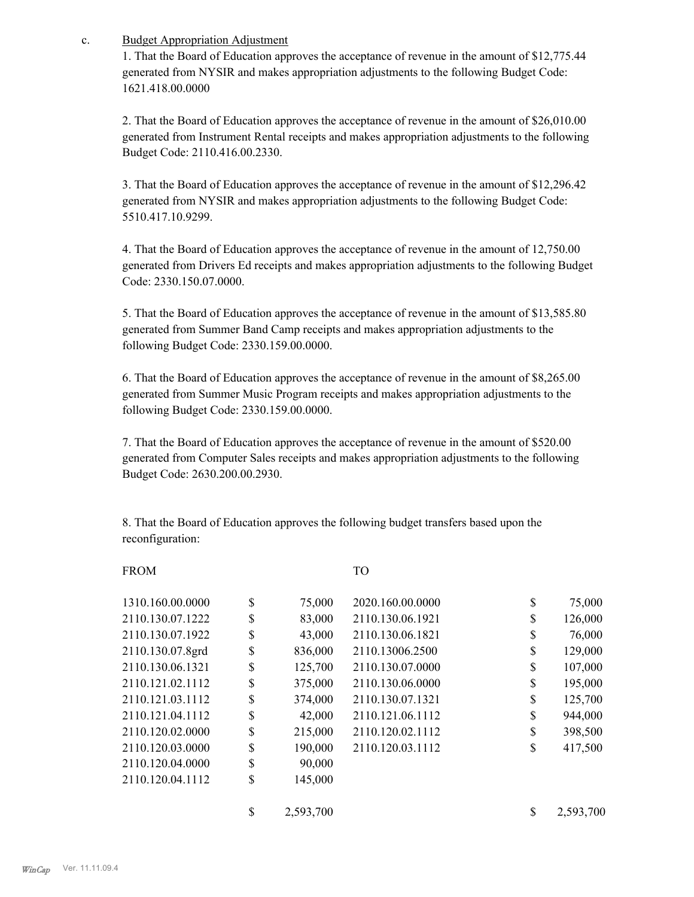Budget Appropriation Adjustment c.

> 1. That the Board of Education approves the acceptance of revenue in the amount of \$12,775.44 generated from NYSIR and makes appropriation adjustments to the following Budget Code: 1621.418.00.0000

> 2. That the Board of Education approves the acceptance of revenue in the amount of \$26,010.00 generated from Instrument Rental receipts and makes appropriation adjustments to the following Budget Code: 2110.416.00.2330.

> 3. That the Board of Education approves the acceptance of revenue in the amount of \$12,296.42 generated from NYSIR and makes appropriation adjustments to the following Budget Code: 5510.417.10.9299.

4. That the Board of Education approves the acceptance of revenue in the amount of 12,750.00 generated from Drivers Ed receipts and makes appropriation adjustments to the following Budget Code: 2330.150.07.0000.

5. That the Board of Education approves the acceptance of revenue in the amount of \$13,585.80 generated from Summer Band Camp receipts and makes appropriation adjustments to the following Budget Code: 2330.159.00.0000.

6. That the Board of Education approves the acceptance of revenue in the amount of \$8,265.00 generated from Summer Music Program receipts and makes appropriation adjustments to the following Budget Code: 2330.159.00.0000.

7. That the Board of Education approves the acceptance of revenue in the amount of \$520.00 generated from Computer Sales receipts and makes appropriation adjustments to the following Budget Code: 2630.200.00.2930.

8. That the Board of Education approves the following budget transfers based upon the reconfiguration:

#### FROM TO

| 1310.160.00.0000 | \$<br>75,000    | 2020.160.00.0000 | \$ | 75,000    |
|------------------|-----------------|------------------|----|-----------|
| 2110.130.07.1222 | \$<br>83,000    | 2110.130.06.1921 | \$ | 126,000   |
| 2110.130.07.1922 | \$<br>43,000    | 2110.130.06.1821 | S  | 76,000    |
| 2110.130.07.8grd | \$<br>836,000   | 2110.13006.2500  | \$ | 129,000   |
| 2110.130.06.1321 | \$<br>125,700   | 2110.130.07.0000 | \$ | 107,000   |
| 2110.121.02.1112 | \$<br>375,000   | 2110.130.06.0000 | \$ | 195,000   |
| 2110.121.03.1112 | \$<br>374,000   | 2110.130.07.1321 | \$ | 125,700   |
| 2110.121.04.1112 | \$<br>42,000    | 2110.121.06.1112 | \$ | 944,000   |
| 2110.120.02.0000 | \$<br>215,000   | 2110.120.02.1112 | \$ | 398,500   |
| 2110.120.03.0000 | \$<br>190,000   | 2110.120.03.1112 | \$ | 417,500   |
| 2110.120.04.0000 | \$<br>90,000    |                  |    |           |
| 2110.120.04.1112 | \$<br>145,000   |                  |    |           |
|                  | \$<br>2,593,700 |                  | \$ | 2,593,700 |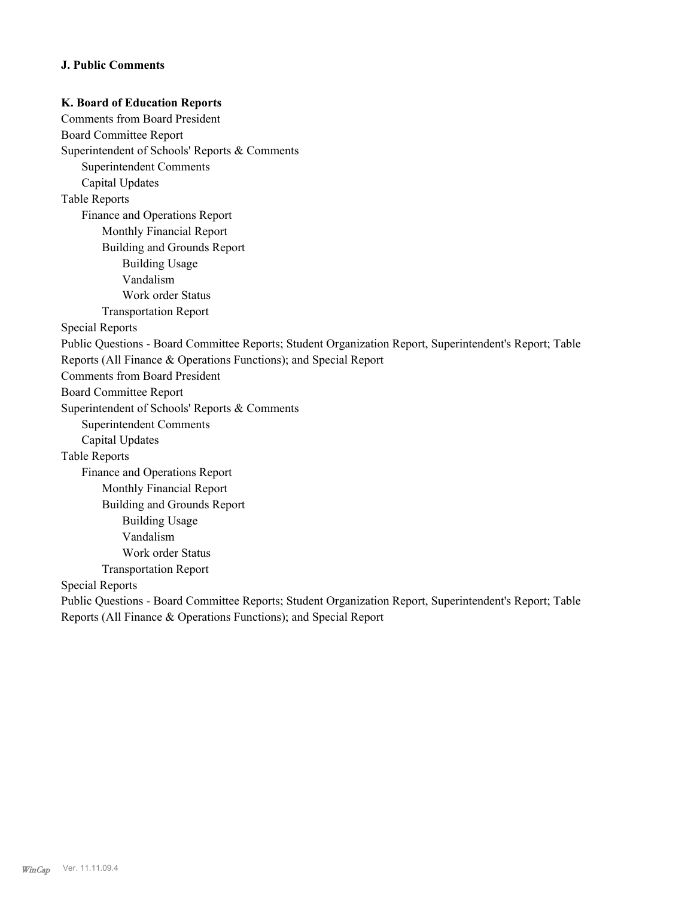#### **J. Public Comments**

**K. Board of Education Reports**  Comments from Board President Board Committee Report Superintendent of Schools' Reports & Comments Superintendent Comments Capital Updates Table Reports Finance and Operations Report Monthly Financial Report Building and Grounds Report Building Usage Vandalism Work order Status Transportation Report Special Reports Public Questions - Board Committee Reports; Student Organization Report, Superintendent's Report; Table Reports (All Finance & Operations Functions); and Special Report Comments from Board President Board Committee Report Superintendent of Schools' Reports & Comments Superintendent Comments Capital Updates Table Reports Finance and Operations Report Monthly Financial Report Building and Grounds Report Building Usage Vandalism Work order Status Transportation Report Special Reports Public Questions - Board Committee Reports; Student Organization Report, Superintendent's Report; Table Reports (All Finance & Operations Functions); and Special Report